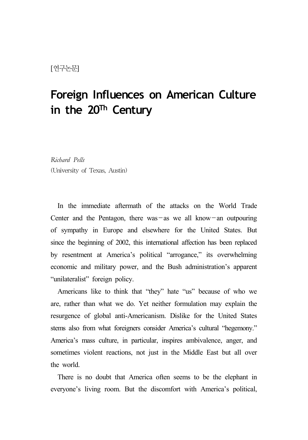# **Foreign Influences on American Culture in the 20Th Century**

*Richard Pells* (University of Texas, Austin)

In the immediate aftermath of the attacks on the World Trade Center and the Pentagon, there was  $-\text{as}$  we all know-an outpouring of sympathy in Europe and elsewhere for the United States. But since the beginning of 2002, this international affection has been replaced by resentment at America's political "arrogance," its overwhelming economic and military power, and the Bush administration's apparent "unilateralist" foreign policy.

Americans like to think that "they" hate "us" because of who we are, rather than what we do. Yet neither formulation may explain the resurgence of global anti-Americanism. Dislike for the United States stems also from what foreigners consider America's cultural "hegemony." America's mass culture, in particular, inspires ambivalence, anger, and sometimes violent reactions, not just in the Middle East but all over the world.

There is no doubt that America often seems to be the elephant in everyone's living room. But the discomfort with America's political,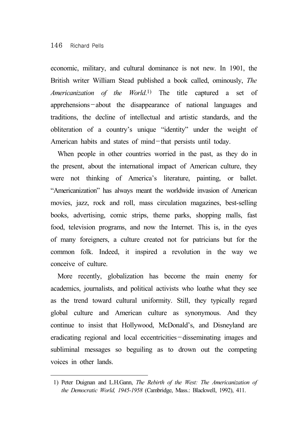## 146 Richard Pells

economic, military, and cultural dominance is not new. In 1901, the British writer William Stead published a book called, ominously, *The Americanization of the World*.1) The title captured a set of apprehensions-about the disappearance of national languages and traditions, the decline of intellectual and artistic standards, and the obliteration of a country's unique "identity" under the weight of American habits and states of mind-that persists until today.

When people in other countries worried in the past, as they do in the present, about the international impact of American culture, they were not thinking of America's literature, painting, or ballet. "Americanization" has always meant the worldwide invasion of American movies, jazz, rock and roll, mass circulation magazines, best-selling books, advertising, comic strips, theme parks, shopping malls, fast food, television programs, and now the Internet. This is, in the eyes of many foreigners, a culture created not for patricians but for the common folk. Indeed, it inspired a revolution in the way we conceive of culture.

More recently, globalization has become the main enemy for academics, journalists, and political activists who loathe what they see as the trend toward cultural uniformity. Still, they typically regard global culture and American culture as synonymous. And they continue to insist that Hollywood, McDonald's, and Disneyland are eradicating regional and local eccentricities-disseminating images and subliminal messages so beguiling as to drown out the competing voices in other lands.

<sup>1)</sup> Peter Duignan and L.H.Gann, *The Rebirth of the West: The Americanization of the Democratic World, 1945-1958* (Cambridge, Mass.: Blackwell, 1992), 411.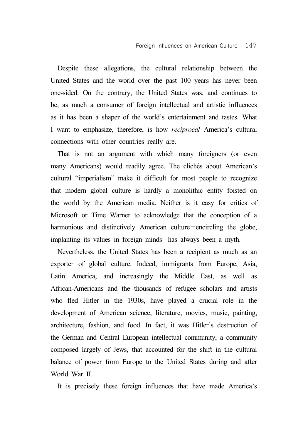Despite these allegations, the cultural relationship between the United States and the world over the past 100 years has never been one-sided. On the contrary, the United States was, and continues to be, as much a consumer of foreign intellectual and artistic influences as it has been a shaper of the world's entertainment and tastes. What I want to emphasize, therefore, is how *reciprocal* America's cultural connections with other countries really are.

That is not an argument with which many foreigners (or even many Americans) would readily agree. The clichés about American's cultural "imperialism" make it difficult for most people to recognize that modern global culture is hardly a monolithic entity foisted on the world by the American media. Neither is it easy for critics of Microsoft or Time Warner to acknowledge that the conception of a harmonious and distinctively American culture-encircling the globe, implanting its values in foreign minds-has always been a myth.

Nevertheless, the United States has been a recipient as much as an exporter of global culture. Indeed, immigrants from Europe, Asia, Latin America, and increasingly the Middle East, as well as African-Americans and the thousands of refugee scholars and artists who fled Hitler in the 1930s, have played a crucial role in the development of American science, literature, movies, music, painting, architecture, fashion, and food. In fact, it was Hitler's destruction of the German and Central European intellectual community, a community composed largely of Jews, that accounted for the shift in the cultural balance of power from Europe to the United States during and after World War II.

It is precisely these foreign influences that have made America's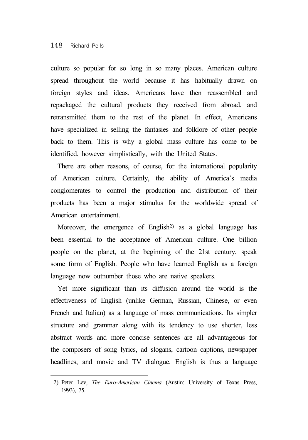culture so popular for so long in so many places. American culture spread throughout the world because it has habitually drawn on foreign styles and ideas. Americans have then reassembled and repackaged the cultural products they received from abroad, and retransmitted them to the rest of the planet. In effect, Americans have specialized in selling the fantasies and folklore of other people back to them. This is why a global mass culture has come to be identified, however simplistically, with the United States.

There are other reasons, of course, for the international popularity of American culture. Certainly, the ability of America's media conglomerates to control the production and distribution of their products has been a major stimulus for the worldwide spread of American entertainment.

Moreover, the emergence of English<sup>2)</sup> as a global language has been essential to the acceptance of American culture. One billion people on the planet, at the beginning of the 21st century, speak some form of English. People who have learned English as a foreign language now outnumber those who are native speakers.

Yet more significant than its diffusion around the world is the effectiveness of English (unlike German, Russian, Chinese, or even French and Italian) as a language of mass communications. Its simpler structure and grammar along with its tendency to use shorter, less abstract words and more concise sentences are all advantageous for the composers of song lyrics, ad slogans, cartoon captions, newspaper headlines, and movie and TV dialogue. English is thus a language

<sup>2)</sup> Peter Lev, *The Euro-American Cinema* (Austin: University of Texas Press, 1993), 75.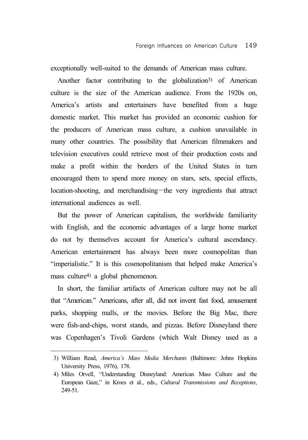exceptionally well-suited to the demands of American mass culture.

Another factor contributing to the globalization<sup>3)</sup> of American culture is the size of the American audience. From the 1920s on, America's artists and entertainers have benefited from a huge domestic market. This market has provided an economic cushion for the producers of American mass culture, a cushion unavailable in many other countries. The possibility that American filmmakers and television executives could retrieve most of their production costs and make a profit within the borders of the United States in turn encouraged them to spend more money on stars, sets, special effects, location-shooting, and merchandising-the very ingredients that attract international audiences as well.

But the power of American capitalism, the worldwide familiarity with English, and the economic advantages of a large home market do not by themselves account for America's cultural ascendancy. American entertainment has always been more cosmopolitan than "imperialistic." It is this cosmopolitanism that helped make America's mass culture4) a global phenomenon.

In short, the familiar artifacts of American culture may not be all that "American." Americans, after all, did not invent fast food, amusement parks, shopping malls, or the movies. Before the Big Mac, there were fish-and-chips, worst stands, and pizzas. Before Disneyland there was Copenhagen's Tivoli Gardens (which Walt Disney used as a

<sup>3)</sup> William Read, *America's Mass Media Merchants* (Baltimore: Johns Hopkins University Press, 1976), 178.

<sup>4)</sup> Miles Orvell, "Understanding Disneyland: American Mass Culture and the European Gaze," in Kroes et al., eds., *Cultural Transmissions and Receptions*, 249-51.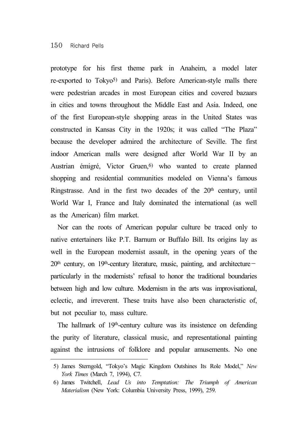## 150 Richard Pells

prototype for his first theme park in Anaheim, a model later re-exported to Tokyo5) and Paris). Before American-style malls there were pedestrian arcades in most European cities and covered bazaars in cities and towns throughout the Middle East and Asia. Indeed, one of the first European-style shopping areas in the United States was constructed in Kansas City in the 1920s; it was called "The Plaza" because the developer admired the architecture of Seville. The first indoor American malls were designed after World War II by an Austrian émigré, Victor Gruen,<sup>6)</sup> who wanted to create planned shopping and residential communities modeled on Vienna's famous Ringstrasse. And in the first two decades of the  $20<sup>th</sup>$  century, until World War I, France and Italy dominated the international (as well as the American) film market.

Nor can the roots of American popular culture be traced only to native entertainers like P.T. Barnum or Buffalo Bill. Its origins lay as well in the European modernist assault, in the opening years of the  $20<sup>th</sup>$  century, on 19<sup>th</sup>-century literature, music, painting, and architectureparticularly in the modernists' refusal to honor the traditional boundaries between high and low culture. Modernism in the arts was improvisational, eclectic, and irreverent. These traits have also been characteristic of, but not peculiar to, mass culture.

The hallmark of 19<sup>th</sup>-century culture was its insistence on defending the purity of literature, classical music, and representational painting against the intrusions of folklore and popular amusements. No one

<sup>5)</sup> James Sterngold, "Tokyo's Magic Kingdom Outshines Its Role Model," *New York Times* (March 7, 1994), C7.

<sup>6)</sup> James Twitchell, *Lead Us into Temptation: The Triumph of American Materialism* (New York: Columbia University Press, 1999), 259.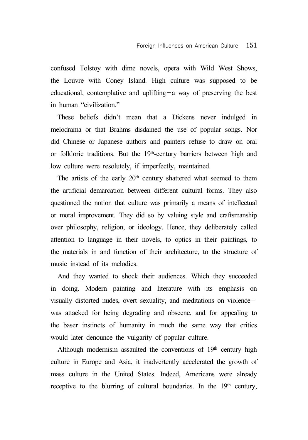confused Tolstoy with dime novels, opera with Wild West Shows, the Louvre with Coney Island. High culture was supposed to be educational, contemplative and uplifting-a way of preserving the best in human "civilization"

These beliefs didn't mean that a Dickens never indulged in melodrama or that Brahms disdained the use of popular songs. Nor did Chinese or Japanese authors and painters refuse to draw on oral or folkloric traditions. But the 19th-century barriers between high and low culture were resolutely, if imperfectly, maintained.

The artists of the early 20<sup>th</sup> century shattered what seemed to them the artificial demarcation between different cultural forms. They also questioned the notion that culture was primarily a means of intellectual or moral improvement. They did so by valuing style and craftsmanship over philosophy, religion, or ideology. Hence, they deliberately called attention to language in their novels, to optics in their paintings, to the materials in and function of their architecture, to the structure of music instead of its melodies.

And they wanted to shock their audiences. Which they succeeded in doing. Modern painting and literature-with its emphasis on visually distorted nudes, overt sexuality, and meditations on violence was attacked for being degrading and obscene, and for appealing to the baser instincts of humanity in much the same way that critics would later denounce the vulgarity of popular culture.

Although modernism assaulted the conventions of  $19<sup>th</sup>$  century high culture in Europe and Asia, it inadvertently accelerated the growth of mass culture in the United States. Indeed, Americans were already receptive to the blurring of cultural boundaries. In the 19<sup>th</sup> century,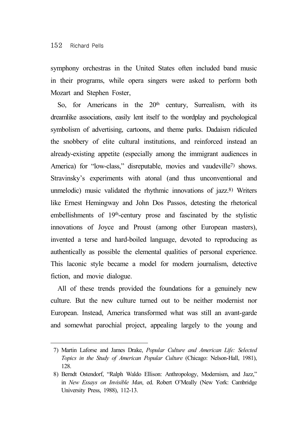symphony orchestras in the United States often included band music in their programs, while opera singers were asked to perform both Mozart and Stephen Foster,

So, for Americans in the  $20<sup>th</sup>$  century, Surrealism, with its dreamlike associations, easily lent itself to the wordplay and psychological symbolism of advertising, cartoons, and theme parks. Dadaism ridiculed the snobbery of elite cultural institutions, and reinforced instead an already-existing appetite (especially among the immigrant audiences in America) for "low-class," disreputable, movies and vaudeville<sup>7)</sup> shows. Stravinsky's experiments with atonal (and thus unconventional and unmelodic) music validated the rhythmic innovations of jazz.8) Writers like Ernest Hemingway and John Dos Passos, detesting the rhetorical embellishments of 19<sup>th</sup>-century prose and fascinated by the stylistic innovations of Joyce and Proust (among other European masters), invented a terse and hard-boiled language, devoted to reproducing as authentically as possible the elemental qualities of personal experience. This laconic style became a model for modern journalism, detective fiction, and movie dialogue.

All of these trends provided the foundations for a genuinely new culture. But the new culture turned out to be neither modernist nor European. Instead, America transformed what was still an avant-garde and somewhat parochial project, appealing largely to the young and

<sup>7)</sup> Martin Laforse and James Drake, *Popular Culture and American Life: Selected Topics in the Study of American Popular Culture* (Chicago: Nelson-Hall, 1981), 128.

<sup>8)</sup> Berndt Ostendorf, "Ralph Waldo Ellison: Anthropology, Modernism, and Jazz," in *New Essays on Invisible Man*, ed. Robert O'Meally (New York: Cambridge University Press, 1988), 112-13.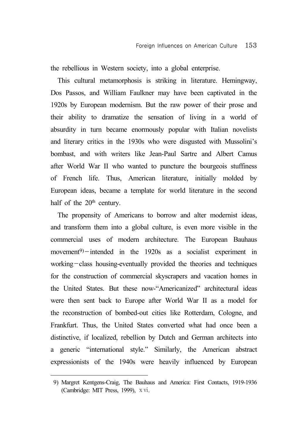the rebellious in Western society, into a global enterprise.

This cultural metamorphosis is striking in literature. Hemingway, Dos Passos, and William Faulkner may have been captivated in the 1920s by European modernism. But the raw power of their prose and their ability to dramatize the sensation of living in a world of absurdity in turn became enormously popular with Italian novelists and literary critics in the 1930s who were disgusted with Mussolini's bombast, and with writers like Jean-Paul Sartre and Albert Camus after World War II who wanted to puncture the bourgeois stuffiness of French life. Thus, American literature, initially molded by European ideas, became a template for world literature in the second half of the 20<sup>th</sup> century.

The propensity of Americans to borrow and alter modernist ideas, and transform them into a global culture, is even more visible in the commercial uses of modern architecture. The European Bauhaus movement<sup>9)</sup>-intended in the 1920s as a socialist experiment in working-class housing-eventually provided the theories and techniques for the construction of commercial skyscrapers and vacation homes in the United States. But these now-"Americanized" architectural ideas were then sent back to Europe after World War II as a model for the reconstruction of bombed-out cities like Rotterdam, Cologne, and Frankfurt. Thus, the United States converted what had once been a distinctive, if localized, rebellion by Dutch and German architects into a generic "international style." Similarly, the American abstract expressionists of the 1940s were heavily influenced by European

<sup>9)</sup> Margret Kentgens-Craig, The Bauhaus and America: First Contacts, 1919-1936 (Cambridge: MIT Press, 1999), ⅹⅵ.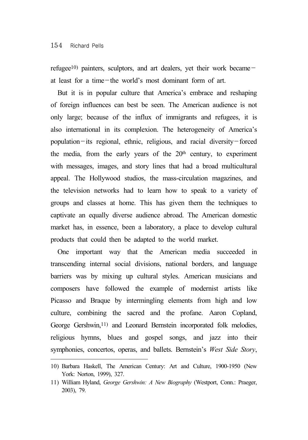refugee<sup>10)</sup> painters, sculptors, and art dealers, yet their work becameat least for a time-the world's most dominant form of art.

But it is in popular culture that America's embrace and reshaping of foreign influences can best be seen. The American audience is not only large; because of the influx of immigrants and refugees, it is also international in its complexion. The heterogeneity of America's population-its regional, ethnic, religious, and racial diversity-forced the media, from the early years of the  $20<sup>th</sup>$  century, to experiment with messages, images, and story lines that had a broad multicultural appeal. The Hollywood studios, the mass-circulation magazines, and the television networks had to learn how to speak to a variety of groups and classes at home. This has given them the techniques to captivate an equally diverse audience abroad. The American domestic market has, in essence, been a laboratory, a place to develop cultural products that could then be adapted to the world market.

One important way that the American media succeeded in transcending internal social divisions, national borders, and language barriers was by mixing up cultural styles. American musicians and composers have followed the example of modernist artists like Picasso and Braque by intermingling elements from high and low culture, combining the sacred and the profane. Aaron Copland, George Gershwin,<sup>11)</sup> and Leonard Bernstein incorporated folk melodies, religious hymns, blues and gospel songs, and jazz into their symphonies, concertos, operas, and ballets. Bernstein's *West Side Story*,

<sup>10)</sup> Barbara Haskell, The American Century: Art and Culture, 1900-1950 (New York: Norton, 1999), 327.

<sup>11)</sup> William Hyland, *George Gershwin: A New Biography* (Westport, Conn.: Praeger, 2003), 79.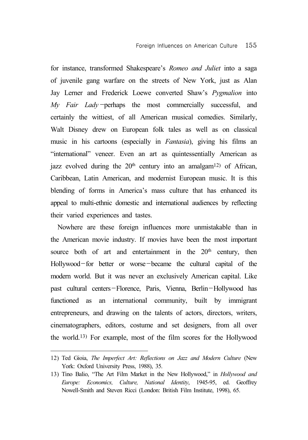for instance, transformed Shakespeare's *Romeo and Juliet* into a saga of juvenile gang warfare on the streets of New York, just as Alan Jay Lerner and Frederick Loewe converted Shaw's *Pygmalion* into *My Fair Lady*-perhaps the most commercially successful, and certainly the wittiest, of all American musical comedies. Similarly, Walt Disney drew on European folk tales as well as on classical music in his cartoons (especially in *Fantasia*), giving his films an "international" veneer. Even an art as quintessentially American as jazz evolved during the  $20<sup>th</sup>$  century into an amalgam<sup>12</sup> of African, Caribbean, Latin American, and modernist European music. It is this blending of forms in America's mass culture that has enhanced its appeal to multi-ethnic domestic and international audiences by reflecting their varied experiences and tastes.

Nowhere are these foreign influences more unmistakable than in the American movie industry. If movies have been the most important source both of art and entertainment in the  $20<sup>th</sup>$  century, then Hollywood-for better or worse-became the cultural capital of the modern world. But it was never an exclusively American capital. Like past cultural centers-Florence, Paris, Vienna, Berlin-Hollywood has functioned as an international community, built by immigrant entrepreneurs, and drawing on the talents of actors, directors, writers, cinematographers, editors, costume and set designers, from all over the world.13) For example, most of the film scores for the Hollywood

<sup>12)</sup> Ted Gioia, *The Imperfect Art: Reflections on Jazz and Modern Culture* (New York: Oxford University Press, 1988), 35.

<sup>13)</sup> Tino Balio, "The Art Film Market in the New Hollywood," in *Hollywood and Europe: Economics, Culture, National Identity*, 1945-95, ed. Geoffrey Nowell-Smith and Steven Ricci (London: British Film Institute, 1998), 65.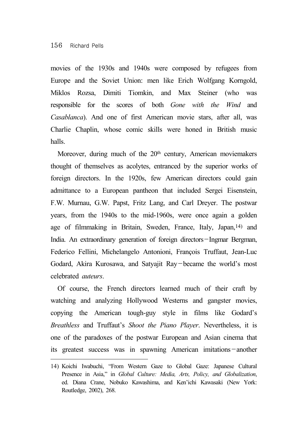movies of the 1930s and 1940s were composed by refugees from Europe and the Soviet Union: men like Erich Wolfgang Korngold, Miklos Rozsa, Dimiti Tiomkin, and Max Steiner (who was responsible for the scores of both *Gone with the Wind* and *Casablanca*). And one of first American movie stars, after all, was Charlie Chaplin, whose comic skills were honed in British music halls.

Moreover, during much of the 20<sup>th</sup> century, American moviemakers thought of themselves as acolytes, entranced by the superior works of foreign directors. In the 1920s, few American directors could gain admittance to a European pantheon that included Sergei Eisenstein, F.W. Murnau, G.W. Papst, Fritz Lang, and Carl Dreyer. The postwar years, from the 1940s to the mid-1960s, were once again a golden age of filmmaking in Britain, Sweden, France, Italy, Japan,14) and India. An extraordinary generation of foreign directors-Ingmar Bergman, Federico Fellini, Michelangelo Antonioni, François Truffaut, Jean-Luc Godard, Akira Kurosawa, and Satyajit Ray-became the world's most celebrated *auteurs*.

Of course, the French directors learned much of their craft by watching and analyzing Hollywood Westerns and gangster movies, copying the American tough-guy style in films like Godard's *Breathless* and Truffaut's *Shoot the Piano Player*. Nevertheless, it is one of the paradoxes of the postwar European and Asian cinema that its greatest success was in spawning American imitations-another

<sup>14)</sup> Koichi Iwabuchi, "From Western Gaze to Global Gaze: Japanese Cultural Presence in Asia," in *Global Culture: Media, Arts, Policy, and Globalization*, ed. Diana Crane, Nobuko Kawashima, and Ken'ichi Kawasaki (New York: Routledge, 2002), 268.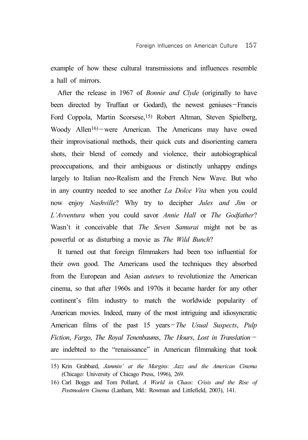example of how these cultural transmissions and influences resemble a hall of mirrors.

After the release in 1967 of *Bonnie and Clyde* (originally to have been directed by Truffaut or Godard), the newest geniuses-Francis Ford Coppola, Martin Scorsese,15) Robert Altman, Steven Spielberg, Woody Allen<sup>16</sup>)-were American. The Americans may have owed their improvisational methods, their quick cuts and disorienting camera shots, their blend of comedy and violence, their autobiographical preoccupations, and their ambiguous or distinctly unhappy endings largely to Italian neo-Realism and the French New Wave. But who in any country needed to see another *La Dolce Vita* when you could now enjoy *Nashville*? Why try to decipher *Jules and Jim* or *L'Avventura* when you could savor *Annie Hall* or *The Godfather*? Wasn't it conceivable that *The Seven Samurai* might not be as powerful or as disturbing a movie as *The Wild Bunch*?

It turned out that foreign filmmakers had been too influential for their own good. The Americans used the techniques they absorbed from the European and Asian *auteurs* to revolutionize the American cinema, so that after 1960s and 1970s it became harder for any other continent's film industry to match the worldwide popularity of American movies. Indeed, many of the most intriguing and idiosyncratic American films of the past 15 years-*The Usual Suspects*, *Pulp Fiction*, *Fargo*, *The Royal Tenenbaums*, *The Hours*, *Lost in Translation* are indebted to the "renaissance" in American filmmaking that took

<sup>15)</sup> Krin Grabbard, *Jammin' at the Margins: Jazz and the American Cinema* (Chicago: University of Chicago Press, 1996), 269.

<sup>16)</sup> Carl Boggs and Tom Pollard, *A World in Chaos: Crisis and the Rise of Postmodern Cinema* (Lanham, Md.: Rowman and Littlefield, 2003), 141.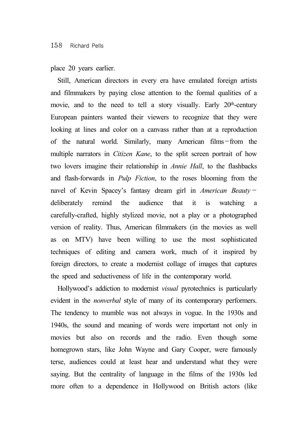## place 20 years earlier.

Still, American directors in every era have emulated foreign artists and filmmakers by paying close attention to the formal qualities of a movie, and to the need to tell a story visually. Early  $20<sup>th</sup>$ -century European painters wanted their viewers to recognize that they were looking at lines and color on a canvass rather than at a reproduction of the natural world. Similarly, many American films-from the multiple narrators in *Citizen Kane*, to the split screen portrait of how two lovers imagine their relationship in *Annie Hall*, to the flashbacks and flash-forwards in *Pulp Fiction*, to the roses blooming from the navel of Kevin Spacey's fantasy dream girl in *American Beauty* deliberately remind the audience that it is watching a carefully-crafted, highly stylized movie, not a play or a photographed version of reality. Thus, American filmmakers (in the movies as well as on MTV) have been willing to use the most sophisticated techniques of editing and camera work, much of it inspired by foreign directors, to create a modernist collage of images that captures the speed and seductiveness of life in the contemporary world.

Hollywood's addiction to modernist *visual* pyrotechnics is particularly evident in the *nonverbal* style of many of its contemporary performers. The tendency to mumble was not always in vogue. In the 1930s and 1940s, the sound and meaning of words were important not only in movies but also on records and the radio. Even though some homegrown stars, like John Wayne and Gary Cooper, were famously terse, audiences could at least hear and understand what they were saying. But the centrality of language in the films of the 1930s led more often to a dependence in Hollywood on British actors (like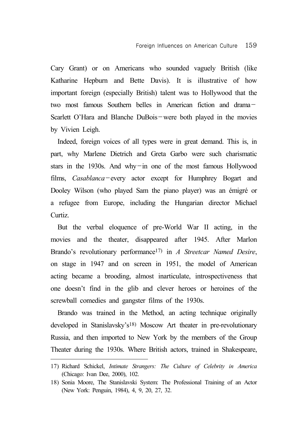Cary Grant) or on Americans who sounded vaguely British (like Katharine Hepburn and Bette Davis). It is illustrative of how important foreign (especially British) talent was to Hollywood that the two most famous Southern belles in American fiction and drama- Scarlett O'Hara and Blanche DuBois-were both played in the movies by Vivien Leigh.

Indeed, foreign voices of all types were in great demand. This is, in part, why Marlene Dietrich and Greta Garbo were such charismatic stars in the 1930s. And why-in one of the most famous Hollywood films, *Casablanca*-every actor except for Humphrey Bogart and Dooley Wilson (who played Sam the piano player) was an émigré or a refugee from Europe, including the Hungarian director Michael Curtiz.

But the verbal eloquence of pre-World War II acting, in the movies and the theater, disappeared after 1945. After Marlon Brando's revolutionary performance17) in *A Streetcar Named Desire*, on stage in 1947 and on screen in 1951, the model of American acting became a brooding, almost inarticulate, introspectiveness that one doesn't find in the glib and clever heroes or heroines of the screwball comedies and gangster films of the 1930s.

Brando was trained in the Method, an acting technique originally developed in Stanislavsky's18) Moscow Art theater in pre-revolutionary Russia, and then imported to New York by the members of the Group Theater during the 1930s. Where British actors, trained in Shakespeare,

<sup>17)</sup> Richard Schickel, *Intimate Strangers: The Culture of Celebrity in America* (Chicago: Ivan Dee, 2000), 102.

<sup>18)</sup> Sonia Moore, The Stanislavski System: The Professional Training of an Actor (New York: Penguin, 1984), 4, 9, 20, 27, 32.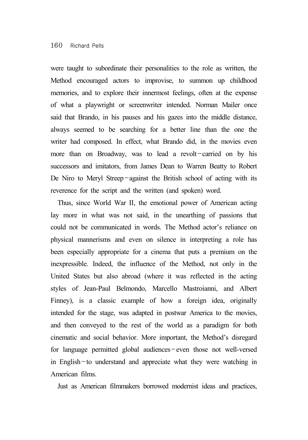#### 160 Richard Pells

were taught to subordinate their personalities to the role as written, the Method encouraged actors to improvise, to summon up childhood memories, and to explore their innermost feelings, often at the expense of what a playwright or screenwriter intended. Norman Mailer once said that Brando, in his pauses and his gazes into the middle distance, always seemed to be searching for a better line than the one the writer had composed. In effect, what Brando did, in the movies even more than on Broadway, was to lead a revolt-carried on by his successors and imitators, from James Dean to Warren Beatty to Robert De Niro to Meryl Streep-against the British school of acting with its reverence for the script and the written (and spoken) word.

Thus, since World War II, the emotional power of American acting lay more in what was not said, in the unearthing of passions that could not be communicated in words. The Method actor's reliance on physical mannerisms and even on silence in interpreting a role has been especially appropriate for a cinema that puts a premium on the inexpressible. Indeed, the influence of the Method, not only in the United States but also abroad (where it was reflected in the acting styles of Jean-Paul Belmondo, Marcello Mastroianni, and Albert Finney), is a classic example of how a foreign idea, originally intended for the stage, was adapted in postwar America to the movies, and then conveyed to the rest of the world as a paradigm for both cinematic and social behavior. More important, the Method's disregard for language permitted global audiences-even those not well-versed in English-to understand and appreciate what they were watching in American films.

Just as American filmmakers borrowed modernist ideas and practices,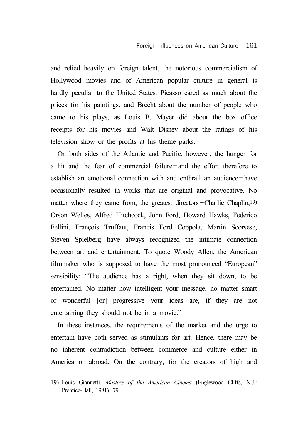and relied heavily on foreign talent, the notorious commercialism of Hollywood movies and of American popular culture in general is hardly peculiar to the United States. Picasso cared as much about the prices for his paintings, and Brecht about the number of people who came to his plays, as Louis B. Mayer did about the box office receipts for his movies and Walt Disney about the ratings of his television show or the profits at his theme parks.

On both sides of the Atlantic and Pacific, however, the hunger for a hit and the fear of commercial failure-and the effort therefore to establish an emotional connection with and enthrall an audience-have occasionally resulted in works that are original and provocative. No matter where they came from, the greatest directors-Charlie Chaplin,<sup>19)</sup> Orson Welles, Alfred Hitchcock, John Ford, Howard Hawks, Federico Fellini, François Truffaut, Francis Ford Coppola, Martin Scorsese, Steven Spielberg-have always recognized the intimate connection between art and entertainment. To quote Woody Allen, the American filmmaker who is supposed to have the most pronounced "European" sensibility: "The audience has a right, when they sit down, to be entertained. No matter how intelligent your message, no matter smart or wonderful [or] progressive your ideas are, if they are not entertaining they should not be in a movie."

In these instances, the requirements of the market and the urge to entertain have both served as stimulants for art. Hence, there may be no inherent contradiction between commerce and culture either in America or abroad. On the contrary, for the creators of high and

<sup>19)</sup> Louis Giannetti, *Masters of the American Cinema* (Englewood Cliffs, N.J.: Prentice-Hall, 1981), 79.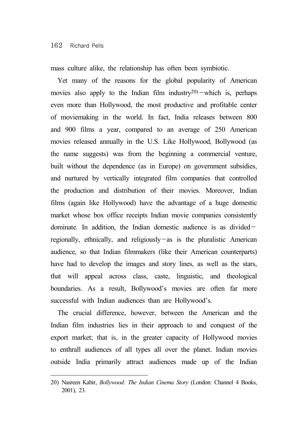mass culture alike, the relationship has often been symbiotic.

Yet many of the reasons for the global popularity of American movies also apply to the Indian film industry $(20)$  -which is, perhaps even more than Hollywood, the most productive and profitable center of moviemaking in the world. In fact, India releases between 800 and 900 films a year, compared to an average of 250 American movies released annually in the U.S. Like Hollywood, Bollywood (as the name suggests) was from the beginning a commercial venture, built without the dependence (as in Europe) on government subsidies, and nurtured by vertically integrated film companies that controlled the production and distribution of their movies. Moreover, Indian films (again like Hollywood) have the advantage of a huge domestic market whose box office receipts Indian movie companies consistently dominate. In addition, the Indian domestic audience is as divided $$ regionally, ethnically, and religiously-as is the pluralistic American audience, so that Indian filmmakers (like their American counterparts) have had to develop the images and story lines, as well as the stars, that will appeal across class, caste, linguistic, and theological boundaries. As a result, Bollywood's movies are often far more successful with Indian audiences than are Hollywood's.

The crucial difference, however, between the American and the Indian film industries lies in their approach to and conquest of the export market; that is, in the greater capacity of Hollywood movies to enthrall audiences of all types all over the planet. Indian movies outside India primarily attract audiences made up of the Indian

<sup>20)</sup> Nasreen Kabir, *Bollywood: The Indian Cinema Story* (London: Channel 4 Books, 2001), 23.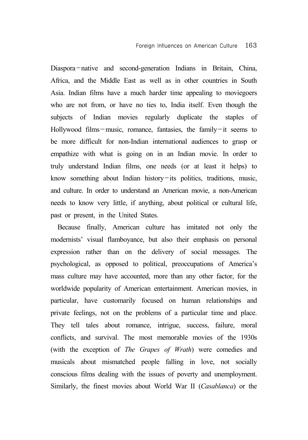Diaspora-native and second-generation Indians in Britain, China, Africa, and the Middle East as well as in other countries in South Asia. Indian films have a much harder time appealing to moviegoers who are not from, or have no ties to, India itself. Even though the subjects of Indian movies regularly duplicate the staples of Hollywood films-music, romance, fantasies, the family-it seems to be more difficult for non-Indian international audiences to grasp or empathize with what is going on in an Indian movie. In order to truly understand Indian films, one needs (or at least it helps) to know something about Indian history-its politics, traditions, music, and culture. In order to understand an American movie, a non-American needs to know very little, if anything, about political or cultural life, past or present, in the United States.

Because finally, American culture has imitated not only the modernists' visual flamboyance, but also their emphasis on personal expression rather than on the delivery of social messages. The psychological, as opposed to political, preoccupations of America's mass culture may have accounted, more than any other factor, for the worldwide popularity of American entertainment. American movies, in particular, have customarily focused on human relationships and private feelings, not on the problems of a particular time and place. They tell tales about romance, intrigue, success, failure, moral conflicts, and survival. The most memorable movies of the 1930s (with the exception of *The Grapes of Wrath*) were comedies and musicals about mismatched people falling in love, not socially conscious films dealing with the issues of poverty and unemployment. Similarly, the finest movies about World War II (*Casablanca*) or the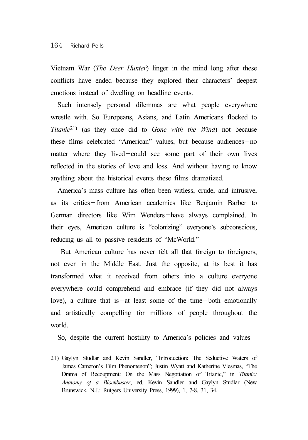#### 164 Richard Pells

Vietnam War (*The Deer Hunter*) linger in the mind long after these conflicts have ended because they explored their characters' deepest emotions instead of dwelling on headline events.

Such intensely personal dilemmas are what people everywhere wrestle with. So Europeans, Asians, and Latin Americans flocked to *Titanic*21) (as they once did to *Gone with the Wind*) not because these films celebrated "American" values, but because audiences-no matter where they lived-could see some part of their own lives reflected in the stories of love and loss. And without having to know anything about the historical events these films dramatized.

America's mass culture has often been witless, crude, and intrusive, as its critics-from American academics like Benjamin Barber to German directors like Wim Wenders-have always complained. In their eyes, American culture is "colonizing" everyone's subconscious, reducing us all to passive residents of "McWorld."

 But American culture has never felt all that foreign to foreigners, not even in the Middle East. Just the opposite, at its best it has transformed what it received from others into a culture everyone everywhere could comprehend and embrace (if they did not always love), a culture that is  $-\alpha t$  least some of the time-both emotionally and artistically compelling for millions of people throughout the world.

So, despite the current hostility to America's policies and values-

<sup>21)</sup> Gaylyn Studlar and Kevin Sandler, "Introduction: The Seductive Waters of James Cameron's Film Phenomenon"; Justin Wyatt and Katherine Vlesmas, "The Drama of Recoupment: On the Mass Negotiation of Titanic," in *Titanic: Anatomy of a Blockbuster*, ed. Kevin Sandler and Gaylyn Studlar (New Brunswick, N.J.: Rutgers University Press, 1999), 1, 7-8, 31, 34.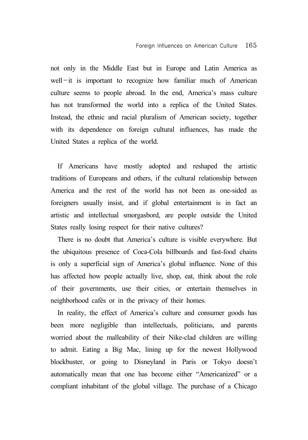not only in the Middle East but in Europe and Latin America as well-it is important to recognize how familiar much of American culture seems to people abroad. In the end, America's mass culture has not transformed the world into a replica of the United States. Instead, the ethnic and racial pluralism of American society, together with its dependence on foreign cultural influences, has made the United States a replica of the world.

If Americans have mostly adopted and reshaped the artistic traditions of Europeans and others, if the cultural relationship between America and the rest of the world has not been as one-sided as foreigners usually insist, and if global entertainment is in fact an artistic and intellectual smorgasbord, are people outside the United States really losing respect for their native cultures?

There is no doubt that America's culture is visible everywhere. But the ubiquitous presence of Coca-Cola billboards and fast-food chains is only a superficial sign of America's global influence. None of this has affected how people actually live, shop, eat, think about the role of their governments, use their cities, or entertain themselves in neighborhood cafés or in the privacy of their homes.

In reality, the effect of America's culture and consumer goods has been more negligible than intellectuals, politicians, and parents worried about the malleability of their Nike-clad children are willing to admit. Eating a Big Mac, lining up for the newest Hollywood blockbuster, or going to Disneyland in Paris or Tokyo doesn't automatically mean that one has become either "Americanized" or a compliant inhabitant of the global village. The purchase of a Chicago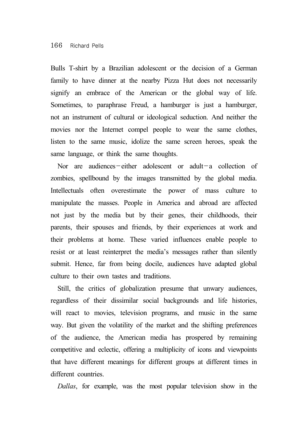Bulls T-shirt by a Brazilian adolescent or the decision of a German family to have dinner at the nearby Pizza Hut does not necessarily signify an embrace of the American or the global way of life. Sometimes, to paraphrase Freud, a hamburger is just a hamburger, not an instrument of cultural or ideological seduction. And neither the movies nor the Internet compel people to wear the same clothes, listen to the same music, idolize the same screen heroes, speak the same language, or think the same thoughts.

Nor are audiences-either adolescent or adult-a collection of zombies, spellbound by the images transmitted by the global media. Intellectuals often overestimate the power of mass culture to manipulate the masses. People in America and abroad are affected not just by the media but by their genes, their childhoods, their parents, their spouses and friends, by their experiences at work and their problems at home. These varied influences enable people to resist or at least reinterpret the media's messages rather than silently submit. Hence, far from being docile, audiences have adapted global culture to their own tastes and traditions.

Still, the critics of globalization presume that unwary audiences, regardless of their dissimilar social backgrounds and life histories, will react to movies, television programs, and music in the same way. But given the volatility of the market and the shifting preferences of the audience, the American media has prospered by remaining competitive and eclectic, offering a multiplicity of icons and viewpoints that have different meanings for different groups at different times in different countries.

*Dallas*, for example, was the most popular television show in the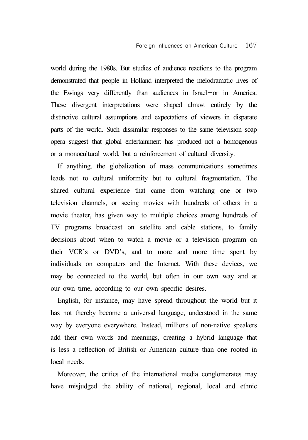world during the 1980s. But studies of audience reactions to the program demonstrated that people in Holland interpreted the melodramatic lives of the Ewings very differently than audiences in Israel-or in America. These divergent interpretations were shaped almost entirely by the distinctive cultural assumptions and expectations of viewers in disparate parts of the world. Such dissimilar responses to the same television soap opera suggest that global entertainment has produced not a homogenous or a monocultural world, but a reinforcement of cultural diversity.

If anything, the globalization of mass communications sometimes leads not to cultural uniformity but to cultural fragmentation. The shared cultural experience that came from watching one or two television channels, or seeing movies with hundreds of others in a movie theater, has given way to multiple choices among hundreds of TV programs broadcast on satellite and cable stations, to family decisions about when to watch a movie or a television program on their VCR's or DVD's, and to more and more time spent by individuals on computers and the Internet. With these devices, we may be connected to the world, but often in our own way and at our own time, according to our own specific desires.

English, for instance, may have spread throughout the world but it has not thereby become a universal language, understood in the same way by everyone everywhere. Instead, millions of non-native speakers add their own words and meanings, creating a hybrid language that is less a reflection of British or American culture than one rooted in local needs.

Moreover, the critics of the international media conglomerates may have misjudged the ability of national, regional, local and ethnic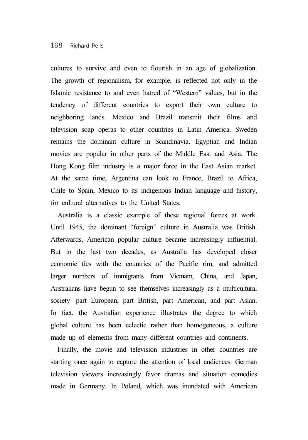cultures to survive and even to flourish in an age of globalization. The growth of regionalism, for example, is reflected not only in the Islamic resistance to and even hatred of "Western" values, but in the tendency of different countries to export their own culture to neighboring lands. Mexico and Brazil transmit their films and television soap operas to other countries in Latin America. Sweden remains the dominant culture in Scandinavia. Egyptian and Indian movies are popular in other parts of the Middle East and Asia. The Hong Kong film industry is a major force in the East Asian market. At the same time, Argentina can look to France, Brazil to Africa, Chile to Spain, Mexico to its indigenous Indian language and history, for cultural alternatives to the United States.

Australia is a classic example of these regional forces at work. Until 1945, the dominant "foreign" culture in Australia was British. Afterwards, American popular culture became increasingly influential. But in the last two decades, as Australia has developed closer economic ties with the countries of the Pacific rim, and admitted larger numbers of immigrants from Vietnam, China, and Japan, Australians have begun to see themselves increasingly as a multicultural society-part European, part British, part American, and part Asian. In fact, the Australian experience illustrates the degree to which global culture has been eclectic rather than homogeneous, a culture made up of elements from many different countries and continents.

Finally, the movie and television industries in other countries are starting once again to capture the attention of local audiences. German television viewers increasingly favor dramas and situation comedies made in Germany. In Poland, which was inundated with American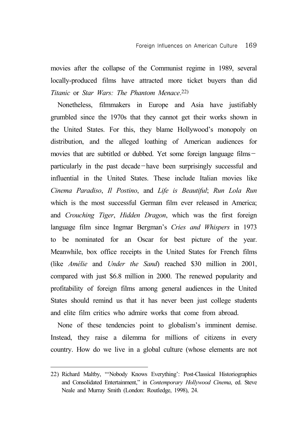movies after the collapse of the Communist regime in 1989, several locally-produced films have attracted more ticket buyers than did *Titanic* or *Star Wars: The Phantom Menace*.22)

Nonetheless, filmmakers in Europe and Asia have justifiably grumbled since the 1970s that they cannot get their works shown in the United States. For this, they blame Hollywood's monopoly on distribution, and the alleged loathing of American audiences for movies that are subtitled or dubbed. Yet some foreign language filmsparticularly in the past decade-have been surprisingly successful and influential in the United States. These include Italian movies like *Cinema Paradiso*, *Il Postino*, and *Life is Beautiful*; *Run Lola Run* which is the most successful German film ever released in America: and *Crouching Tiger*, *Hidden Dragon*, which was the first foreign language film since Ingmar Bergman's *Cries and Whispers* in 1973 to be nominated for an Oscar for best picture of the year. Meanwhile, box office receipts in the United States for French films (like *Amélie* and *Under the Sand*) reached \$30 million in 2001, compared with just \$6.8 million in 2000. The renewed popularity and profitability of foreign films among general audiences in the United States should remind us that it has never been just college students and elite film critics who admire works that come from abroad.

None of these tendencies point to globalism's imminent demise. Instead, they raise a dilemma for millions of citizens in every country. How do we live in a global culture (whose elements are not

<sup>22)</sup> Richard Maltby, "'Nobody Knows Everything': Post-Classical Historiographies and Consolidated Entertainment," in *Contemporary Hollywood Cinema*, ed. Steve Neale and Murray Smith (London: Routledge, 1998), 24.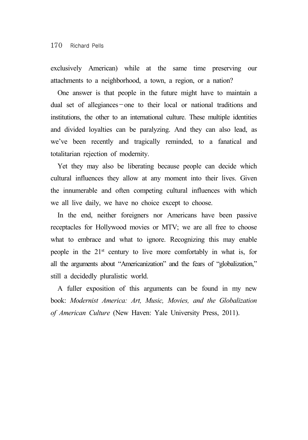exclusively American) while at the same time preserving our attachments to a neighborhood, a town, a region, or a nation?

One answer is that people in the future might have to maintain a dual set of allegiances-one to their local or national traditions and institutions, the other to an international culture. These multiple identities and divided loyalties can be paralyzing. And they can also lead, as we've been recently and tragically reminded, to a fanatical and totalitarian rejection of modernity.

Yet they may also be liberating because people can decide which cultural influences they allow at any moment into their lives. Given the innumerable and often competing cultural influences with which we all live daily, we have no choice except to choose.

In the end, neither foreigners nor Americans have been passive receptacles for Hollywood movies or MTV; we are all free to choose what to embrace and what to ignore. Recognizing this may enable people in the 21st century to live more comfortably in what is, for all the arguments about "Americanization" and the fears of "globalization," still a decidedly pluralistic world.

A fuller exposition of this arguments can be found in my new book: *Modernist America: Art, Music, Movies, and the Globalization of American Culture* (New Haven: Yale University Press, 2011).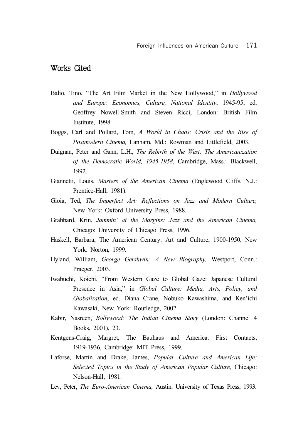## Works Cited

- Balio, Tino, "The Art Film Market in the New Hollywood," in *Hollywood and Europe: Economics, Culture, National Identity*, 1945-95, ed. Geoffrey Nowell-Smith and Steven Ricci, London: British Film Institute, 1998.
- Boggs, Carl and Pollard, Tom, *A World in Chaos: Crisis and the Rise of Postmodern Cinema,* Lanham, Md.: Rowman and Littlefield, 2003.
- Duignan, Peter and Gann, L.H., *The Rebirth of the West: The Americanization of the Democratic World, 1945-1958*, Cambridge, Mass.: Blackwell, 1992.
- Giannetti, Louis, *Masters of the American Cinema* (Englewood Cliffs, N.J.: Prentice-Hall, 1981).
- Gioia, Ted, *The Imperfect Art: Reflections on Jazz and Modern Culture,* New York: Oxford University Press, 1988.
- Grabbard, Krin, *Jammin' at the Margins: Jazz and the American Cinema,* Chicago: University of Chicago Press, 1996.
- Haskell, Barbara, The American Century: Art and Culture, 1900-1950, New York: Norton, 1999.
- Hyland, William, *George Gershwin: A New Biography,* Westport, Conn.: Praeger, 2003.
- Iwabuchi, Koichi, "From Western Gaze to Global Gaze: Japanese Cultural Presence in Asia," in *Global Culture: Media, Arts, Policy, and Globalization*, ed. Diana Crane, Nobuko Kawashima, and Ken'ichi Kawasaki, New York: Routledge, 2002.
- Kabir, Nasreen, *Bollywood: The Indian Cinema Story* (London: Channel 4 Books, 2001), 23.
- Kentgens-Craig, Margret, The Bauhaus and America: First Contacts, 1919-1936, Cambridge: MIT Press, 1999.
- Laforse, Martin and Drake, James, *Popular Culture and American Life: Selected Topics in the Study of American Popular Culture,* Chicago: Nelson-Hall, 1981.
- Lev, Peter, *The Euro-American Cinema,* Austin: University of Texas Press, 1993.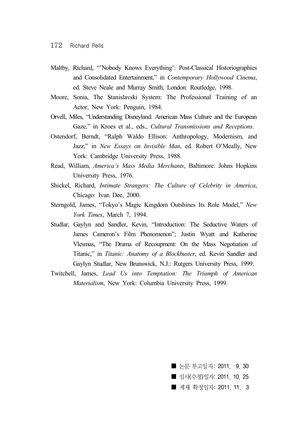- Maltby, Richard, "'Nobody Knows Everything': Post-Classical Historiographies and Consolidated Entertainment," in *Contemporary Hollywood Cinema*, ed. Steve Neale and Murray Smith, London: Routledge, 1998.
- Moore, Sonia, The Stanislavski System: The Professional Training of an Actor, New York: Penguin, 1984.
- Orvell, Miles, "Understanding Disneyland: American Mass Culture and the European Gaze," in Kroes et al., eds., *Cultural Transmissions and Receptions*.
- Ostendorf, Berndt, "Ralph Waldo Ellison: Anthropology, Modernism, and Jazz," in *New Essays on Invisible Man*, ed. Robert O'Meally, New York: Cambridge University Press, 1988.
- Read, William, *America's Mass Media Merchants*, Baltimore: Johns Hopkins University Press, 1976.
- Shickel, Richard, *Intimate Strangers: The Culture of Celebrity in America*, Chicago: Ivan Dee, 2000.
- Sterngold, James, "Tokyo's Magic Kingdom Outshines Its Role Model," *New York Times*, March 7, 1994.
- Studlar, Gaylyn and Sandler, Kevin, "Introduction: The Seductive Waters of James Cameron's Film Phenomenon"; Justin Wyatt and Katherine Vlesmas, "The Drama of Recoupment: On the Mass Negotiation of Titanic," in *Titanic: Anatomy of a Blockbuster*, ed. Kevin Sandler and Gaylyn Studlar, New Brunswick, N.J.: Rutgers University Press, 1999.
- Twitchell, James, *Lead Us into Temptation: The Triumph of American Materialism*, New York: Columbia University Press, 1999.

■ 논문 투고일자: 2011. 9.30 ■ 심사(수정)일자: 2011, 10, 25 ■ 게재 확정일자: 2011 11 3